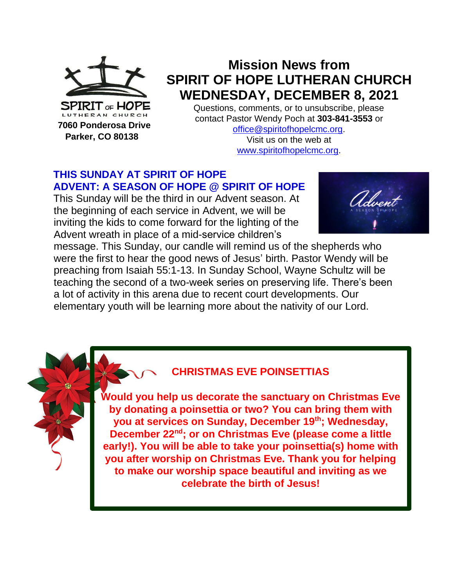

 **Parker, CO 80138**

# **Mission News from SPIRIT OF HOPE LUTHERAN CHURCH WEDNESDAY, DECEMBER 8, 2021**

Questions, comments, or to unsubscribe, please contact Pastor Wendy Poch at **303-841-3553** or

[office@spiritofhopelcmc.org.](mailto:office@spiritofhopelcmc.org) Visit us on the web at [www.spiritofhopelcmc.org.](http://www.spiritofhopelcmc.org/)

### **THIS SUNDAY AT SPIRIT OF HOPE ADVENT: A SEASON OF HOPE @ SPIRIT OF HOPE**

This Sunday will be the third in our Advent season. At the beginning of each service in Advent, we will be inviting the kids to come forward for the lighting of the Advent wreath in place of a mid-service children's



message. This Sunday, our candle will remind us of the shepherds who were the first to hear the good news of Jesus' birth. Pastor Wendy will be preaching from Isaiah 55:1-13. In Sunday School, Wayne Schultz will be teaching the second of a two-week series on preserving life. There's been a lot of activity in this arena due to recent court developments. Our elementary youth will be learning more about the nativity of our Lord.



# **CHRISTMAS EVE POINSETTIAS**

**Would you help us decorate the sanctuary on Christmas Eve by donating a poinsettia or two? You can bring them with you at services on Sunday, December 19th; Wednesday, December 22nd; or on Christmas Eve (please come a little early!). You will be able to take your poinsettia(s) home with you after worship on Christmas Eve. Thank you for helping to make our worship space beautiful and inviting as we celebrate the birth of Jesus!**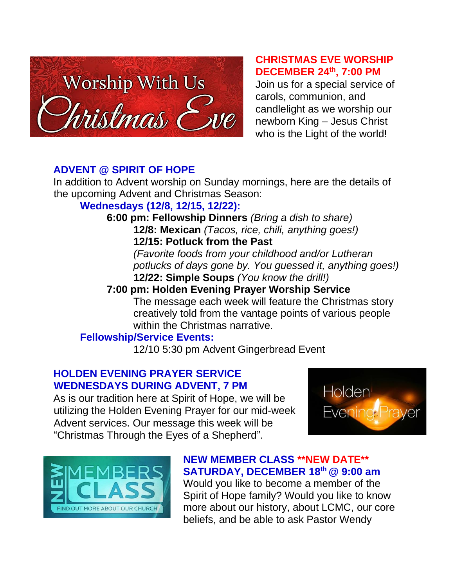

#### **CHRISTMAS EVE WORSHIP DECEMBER 24th, 7:00 PM**

Join us for a special service of carols, communion, and candlelight as we worship our newborn King – Jesus Christ who is the Light of the world!

### **ADVENT @ SPIRIT OF HOPE**

In addition to Advent worship on Sunday mornings, here are the details of the upcoming Advent and Christmas Season:

# **Wednesdays (12/8, 12/15, 12/22):**

**6:00 pm: Fellowship Dinners** *(Bring a dish to share)* **12/8: Mexican** *(Tacos, rice, chili, anything goes!)* **12/15: Potluck from the Past**

> *(Favorite foods from your childhood and/or Lutheran potlucks of days gone by. You guessed it, anything goes!)* **12/22: Simple Soups** *(You know the drill!)*

# **7:00 pm: Holden Evening Prayer Worship Service**

The message each week will feature the Christmas story creatively told from the vantage points of various people within the Christmas narrative.

# **Fellowship/Service Events:**

12/10 5:30 pm Advent Gingerbread Event

#### **HOLDEN EVENING PRAYER SERVICE WEDNESDAYS DURING ADVENT, 7 PM**

As is our tradition here at Spirit of Hope, we will be utilizing the Holden Evening Prayer for our mid-week Advent services. Our message this week will be "Christmas Through the Eyes of a Shepherd".





### **NEW MEMBER CLASS \*\*NEW DATE\*\* SATURDAY, DECEMBER 18 th @ 9:00 am**

Would you like to become a member of the Spirit of Hope family? Would you like to know more about our history, about LCMC, our core beliefs, and be able to ask Pastor Wendy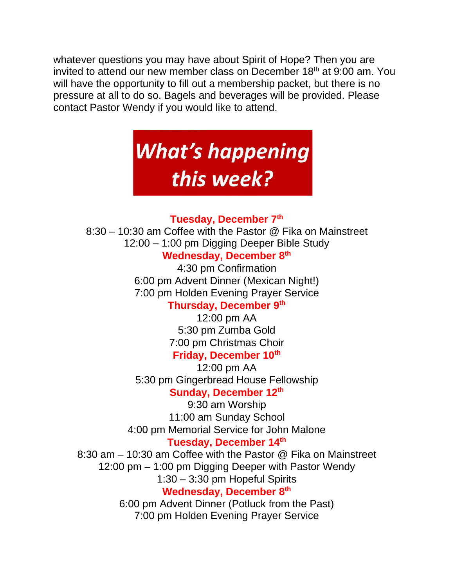whatever questions you may have about Spirit of Hope? Then you are invited to attend our new member class on December 18<sup>th</sup> at 9:00 am. You will have the opportunity to fill out a membership packet, but there is no pressure at all to do so. Bagels and beverages will be provided. Please contact Pastor Wendy if you would like to attend.

# **What's happening** this week?

#### **Tuesday, December 7th**

8:30 – 10:30 am Coffee with the Pastor @ Fika on Mainstreet 12:00 – 1:00 pm Digging Deeper Bible Study

# **Wednesday, December 8 th**

4:30 pm Confirmation 6:00 pm Advent Dinner (Mexican Night!) 7:00 pm Holden Evening Prayer Service

### **Thursday, December 9 th**

12:00 pm AA 5:30 pm Zumba Gold 7:00 pm Christmas Choir **Friday, December 10th**

12:00 pm AA 5:30 pm Gingerbread House Fellowship Sunday, December 12<sup>th</sup>

9:30 am Worship 11:00 am Sunday School 4:00 pm Memorial Service for John Malone **Tuesday, December 14th**

8:30 am – 10:30 am Coffee with the Pastor @ Fika on Mainstreet 12:00 pm – 1:00 pm Digging Deeper with Pastor Wendy 1:30 – 3:30 pm Hopeful Spirits **Wednesday, December 8 th** 6:00 pm Advent Dinner (Potluck from the Past) 7:00 pm Holden Evening Prayer Service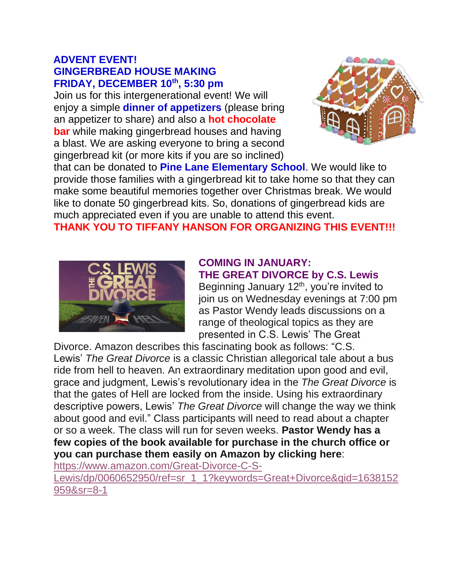#### **ADVENT EVENT! GINGERBREAD HOUSE MAKING FRIDAY, DECEMBER 10th, 5:30 pm**

Join us for this intergenerational event! We will enjoy a simple **dinner of appetizers** (please bring an appetizer to share) and also a **hot chocolate bar** while making gingerbread houses and having a blast. We are asking everyone to bring a second gingerbread kit (or more kits if you are so inclined)



that can be donated to **Pine Lane Elementary School**. We would like to provide those families with a gingerbread kit to take home so that they can make some beautiful memories together over Christmas break. We would like to donate 50 gingerbread kits. So, donations of gingerbread kids are much appreciated even if you are unable to attend this event.

**THANK YOU TO TIFFANY HANSON FOR ORGANIZING THIS EVENT!!!**



#### **COMING IN JANUARY: THE GREAT DIVORCE by C.S. Lewis**

Beginning January 12<sup>th</sup>, you're invited to join us on Wednesday evenings at 7:00 pm as Pastor Wendy leads discussions on a range of theological topics as they are presented in C.S. Lewis' The Great

Divorce. Amazon describes this fascinating book as follows: "C.S. Lewis' *The Great Divorce* is a classic Christian allegorical tale about a bus ride from hell to heaven. An extraordinary meditation upon good and evil, grace and judgment, Lewis's revolutionary idea in the *The Great Divorce* is that the gates of Hell are locked from the inside. Using his extraordinary descriptive powers, Lewis' *The Great Divorce* will change the way we think about good and evil." Class participants will need to read about a chapter or so a week. The class will run for seven weeks. **Pastor Wendy has a few copies of the book available for purchase in the church office or you can purchase them easily on Amazon by clicking here**:

[https://www.amazon.com/Great-Divorce-C-S-](https://www.amazon.com/Great-Divorce-C-S-Lewis/dp/0060652950/ref=sr_1_1?keywords=Great+Divorce&qid=1638152959&sr=8-1)

[Lewis/dp/0060652950/ref=sr\\_1\\_1?keywords=Great+Divorce&qid=1638152](https://www.amazon.com/Great-Divorce-C-S-Lewis/dp/0060652950/ref=sr_1_1?keywords=Great+Divorce&qid=1638152959&sr=8-1) [959&sr=8-1](https://www.amazon.com/Great-Divorce-C-S-Lewis/dp/0060652950/ref=sr_1_1?keywords=Great+Divorce&qid=1638152959&sr=8-1)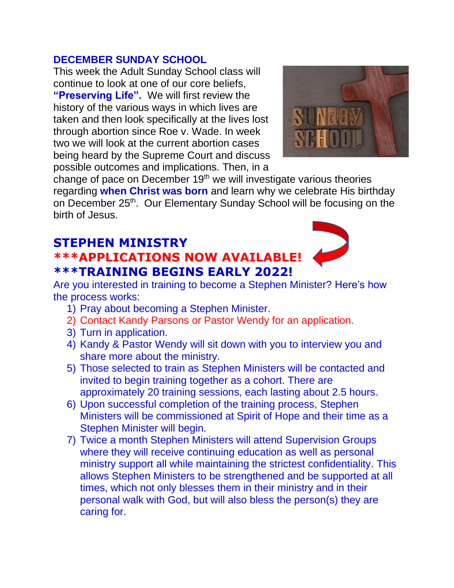#### **DECEMBER SUNDAY SCHOOL**

This week the Adult Sunday School class will continue to look at one of our core beliefs, **"Preserving Life".** We will first review the history of the various ways in which lives are taken and then look specifically at the lives lost through abortion since Roe v. Wade. In week two we will look at the current abortion cases being heard by the Supreme Court and discuss possible outcomes and implications. Then, in a



change of pace on December 19th we will investigate various theories regarding **when Christ was born** and learn why we celebrate His birthday on December 25<sup>th</sup>. Our Elementary Sunday School will be focusing on the birth of Jesus.

# **STEPHEN MINISTRY \*\*\*APPLICATIONS NOW AVAILABLE! \*\*\*TRAINING BEGINS EARLY 2022!**



Are you interested in training to become a Stephen Minister? Here's how the process works:

- 1) Pray about becoming a Stephen Minister.
- 2) Contact Kandy Parsons or Pastor Wendy for an application.
- 3) Turn in application.
- 4) Kandy & Pastor Wendy will sit down with you to interview you and share more about the ministry.
- 5) Those selected to train as Stephen Ministers will be contacted and invited to begin training together as a cohort. There are approximately 20 training sessions, each lasting about 2.5 hours.
- 6) Upon successful completion of the training process, Stephen Ministers will be commissioned at Spirit of Hope and their time as a Stephen Minister will begin.
- 7) Twice a month Stephen Ministers will attend Supervision Groups where they will receive continuing education as well as personal ministry support all while maintaining the strictest confidentiality. This allows Stephen Ministers to be strengthened and be supported at all times, which not only blesses them in their ministry and in their personal walk with God, but will also bless the person(s) they are caring for.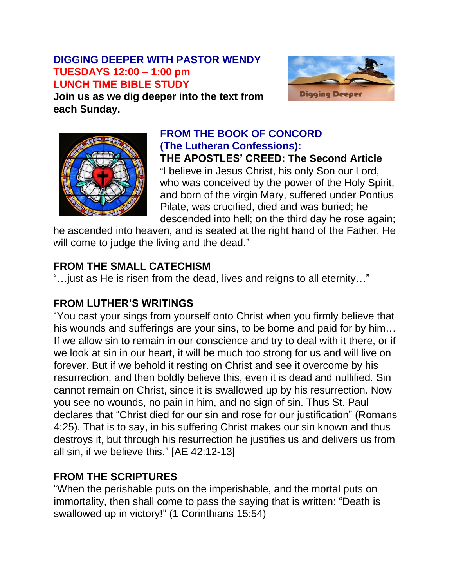#### **DIGGING DEEPER WITH PASTOR WENDY TUESDAYS 12:00 – 1:00 pm LUNCH TIME BIBLE STUDY**



**Join us as we dig deeper into the text from each Sunday.**



#### **FROM THE BOOK OF CONCORD (The Lutheran Confessions): THE APOSTLES' CREED: The Second Article**

"I believe in Jesus Christ, his only Son our Lord, who was conceived by the power of the Holy Spirit, and born of the virgin Mary, suffered under Pontius Pilate, was crucified, died and was buried; he descended into hell; on the third day he rose again;

he ascended into heaven, and is seated at the right hand of the Father. He will come to judge the living and the dead."

# **FROM THE SMALL CATECHISM**

"…just as He is risen from the dead, lives and reigns to all eternity…"

# **FROM LUTHER'S WRITINGS**

"You cast your sings from yourself onto Christ when you firmly believe that his wounds and sufferings are your sins, to be borne and paid for by him… If we allow sin to remain in our conscience and try to deal with it there, or if we look at sin in our heart, it will be much too strong for us and will live on forever. But if we behold it resting on Christ and see it overcome by his resurrection, and then boldly believe this, even it is dead and nullified. Sin cannot remain on Christ, since it is swallowed up by his resurrection. Now you see no wounds, no pain in him, and no sign of sin. Thus St. Paul declares that "Christ died for our sin and rose for our justification" (Romans 4:25). That is to say, in his suffering Christ makes our sin known and thus destroys it, but through his resurrection he justifies us and delivers us from all sin, if we believe this." [AE 42:12-13]

# **FROM THE SCRIPTURES**

"When the perishable puts on the imperishable, and the mortal puts on immortality, then shall come to pass the saying that is written: "Death is swallowed up in victory!" (1 Corinthians 15:54)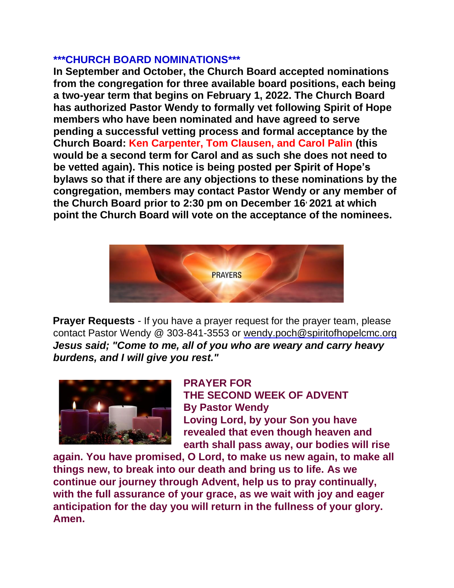#### **\*\*\*CHURCH BOARD NOMINATIONS\*\*\***

**In September and October, the Church Board accepted nominations from the congregation for three available board positions, each being a two-year term that begins on February 1, 2022. The Church Board has authorized Pastor Wendy to formally vet following Spirit of Hope members who have been nominated and have agreed to serve pending a successful vetting process and formal acceptance by the Church Board: Ken Carpenter, Tom Clausen, and Carol Palin (this would be a second term for Carol and as such she does not need to be vetted again). This notice is being posted per Spirit of Hope's bylaws so that if there are any objections to these nominations by the congregation, members may contact Pastor Wendy or any member of the Church Board prior to 2:30 pm on December 16, 2021 at which point the Church Board will vote on the acceptance of the nominees.**



**Prayer Requests** - If you have a prayer request for the prayer team, please contact Pastor Wendy @ 303-841-3553 or wendy.poch@spiritofhopelcmc.org *Jesus said; "Come to me, all of you who are weary and carry heavy burdens, and I will give you rest."*



**PRAYER FOR THE SECOND WEEK OF ADVENT By Pastor Wendy Loving Lord, by your Son you have revealed that even though heaven and earth shall pass away, our bodies will rise** 

**again. You have promised, O Lord, to make us new again, to make all things new, to break into our death and bring us to life. As we continue our journey through Advent, help us to pray continually, with the full assurance of your grace, as we wait with joy and eager anticipation for the day you will return in the fullness of your glory. Amen.**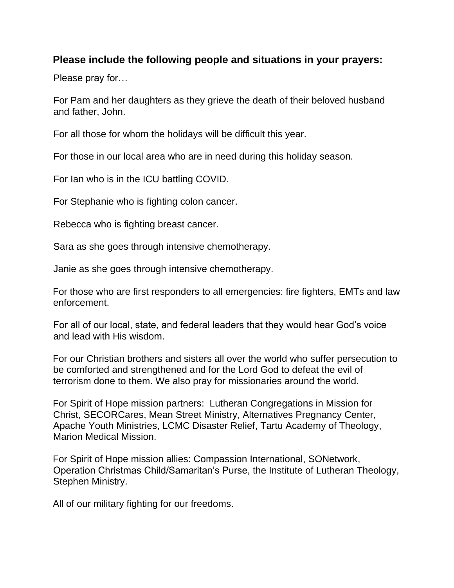#### **Please include the following people and situations in your prayers:**

Please pray for…

For Pam and her daughters as they grieve the death of their beloved husband and father, John.

For all those for whom the holidays will be difficult this year.

For those in our local area who are in need during this holiday season.

For Ian who is in the ICU battling COVID.

For Stephanie who is fighting colon cancer.

Rebecca who is fighting breast cancer.

Sara as she goes through intensive chemotherapy.

Janie as she goes through intensive chemotherapy.

For those who are first responders to all emergencies: fire fighters, EMTs and law enforcement.

For all of our local, state, and federal leaders that they would hear God's voice and lead with His wisdom.

For our Christian brothers and sisters all over the world who suffer persecution to be comforted and strengthened and for the Lord God to defeat the evil of terrorism done to them. We also pray for missionaries around the world.

For Spirit of Hope mission partners: Lutheran Congregations in Mission for Christ, SECORCares, Mean Street Ministry, Alternatives Pregnancy Center, Apache Youth Ministries, LCMC Disaster Relief, Tartu Academy of Theology, Marion Medical Mission.

For Spirit of Hope mission allies: Compassion International, SONetwork, Operation Christmas Child/Samaritan's Purse, the Institute of Lutheran Theology, Stephen Ministry.

All of our military fighting for our freedoms.